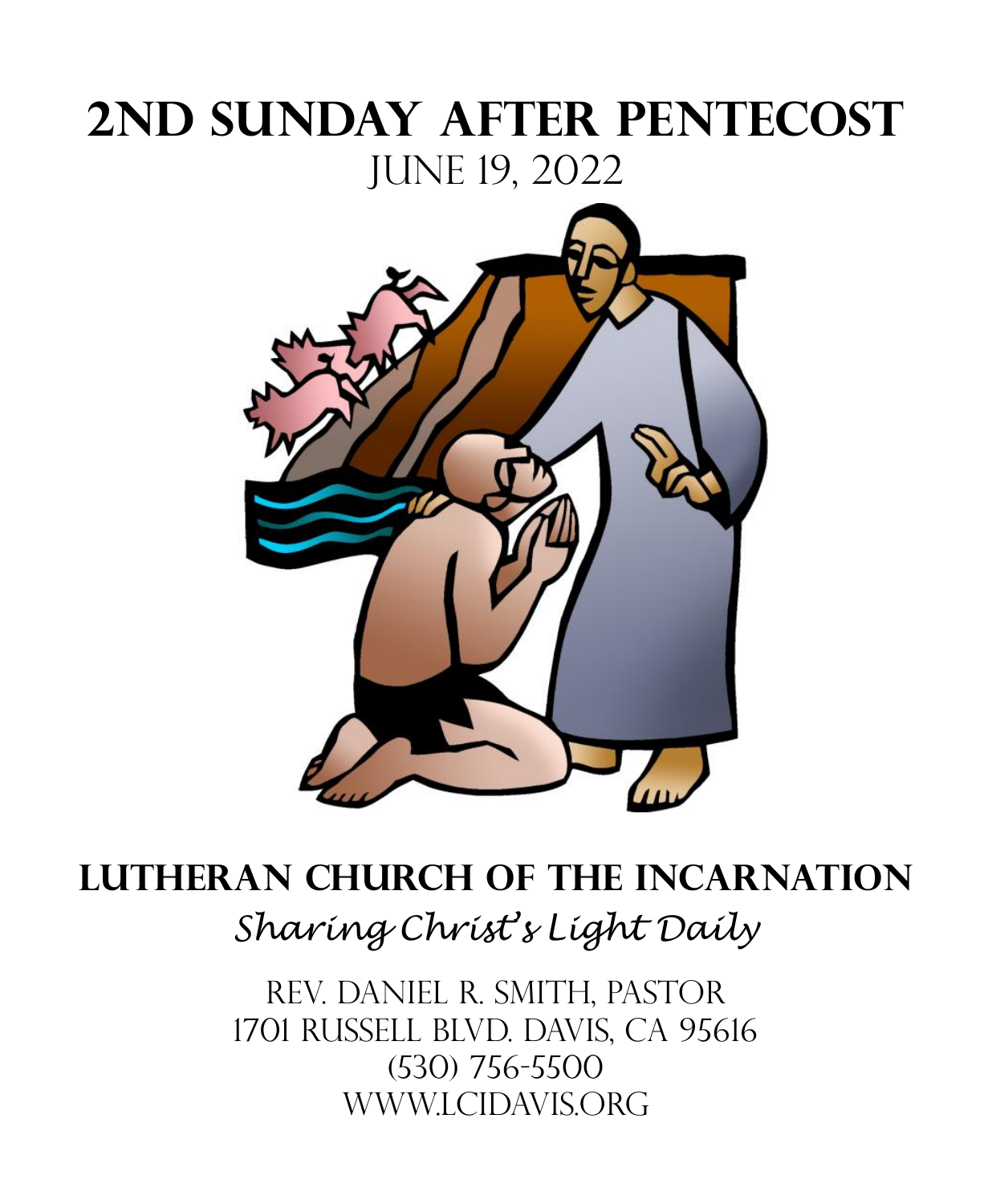# **2ND SUNDAY AFTER Pentecost** JUNE 19, 2022



# **Lutheran Church of the Incarnation** *Sharing Christ's Light Daily*

Rev. Daniel R. Smith, Pastor 1701 Russell Blvd. Davis, CA 95616 (530) 756-5500 Www.lcidavis.ORG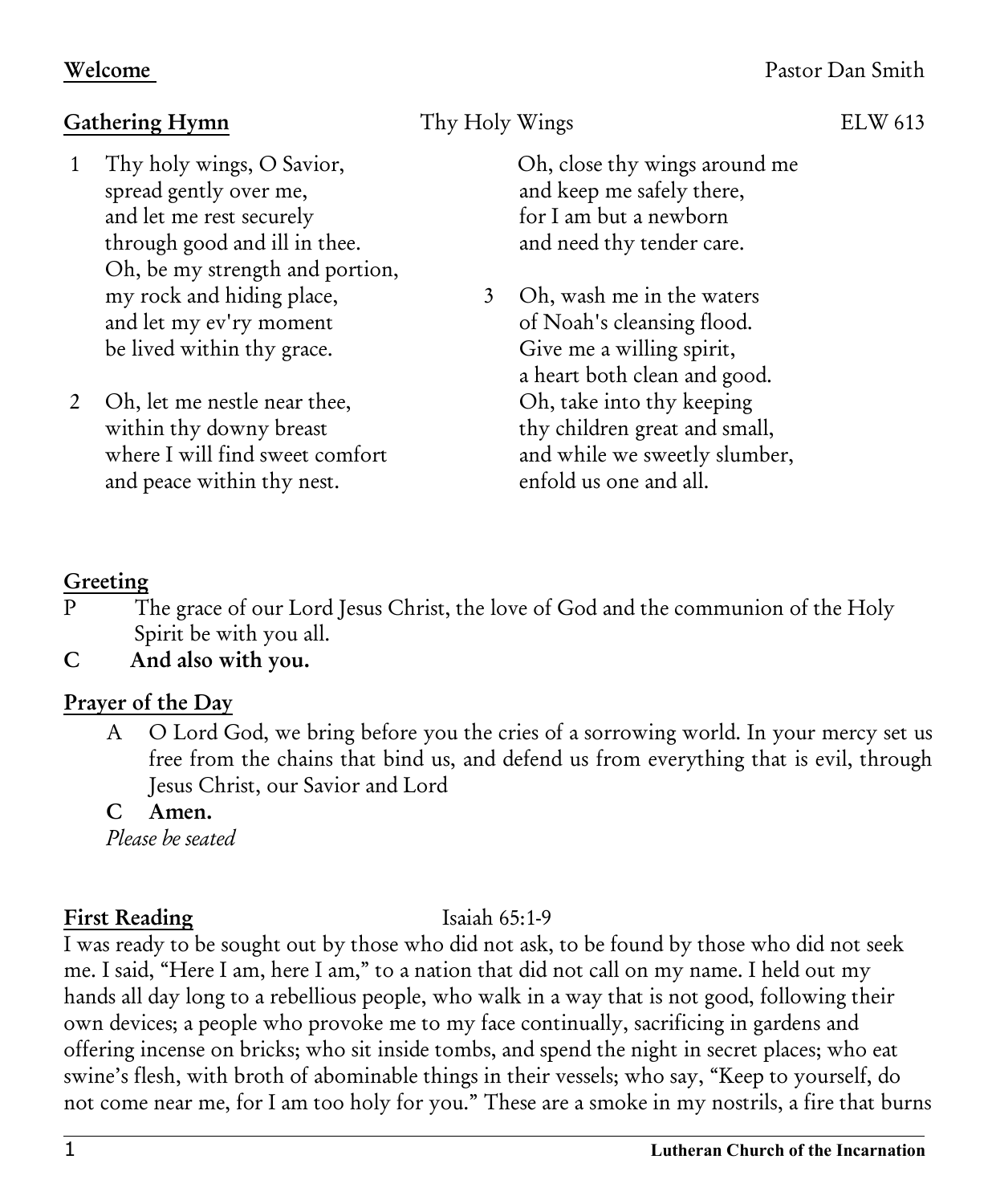### Gathering Hymn **Thy Holy Wings** ELW 613

- 1 Thy holy wings, O Savior, spread gently over me, and let me rest securely through good and ill in thee. Oh, be my strength and portion, my rock and hiding place, and let my ev'ry moment be lived within thy grace.
- 2 Oh, let me nestle near thee, within thy downy breast where I will find sweet comfort and peace within thy nest.

 Oh, close thy wings around me and keep me safely there, for I am but a newborn and need thy tender care.

3 Oh, wash me in the waters of Noah's cleansing flood. Give me a willing spirit, a heart both clean and good. Oh, take into thy keeping thy children great and small, and while we sweetly slumber, enfold us one and all.

### Greeting

- P The grace of our Lord Jesus Christ, the love of God and the communion of the Holy Spirit be with you all.
- C And also with you.

### Prayer of the Day

- A O Lord God, we bring before you the cries of a sorrowing world. In your mercy set us free from the chains that bind us, and defend us from everything that is evil, through Jesus Christ, our Savior and Lord
- C Amen.

*Please be seated*

### First Reading **Isaiah 65:1-9**

I was ready to be sought out by those who did not ask, to be found by those who did not seek me. I said, "Here I am, here I am," to a nation that did not call on my name. I held out my hands all day long to a rebellious people, who walk in a way that is not good, following their own devices; a people who provoke me to my face continually, sacrificing in gardens and offering incense on bricks; who sit inside tombs, and spend the night in secret places; who eat swine's flesh, with broth of abominable things in their vessels; who say, "Keep to yourself, do not come near me, for I am too holy for you." These are a smoke in my nostrils, a fire that burns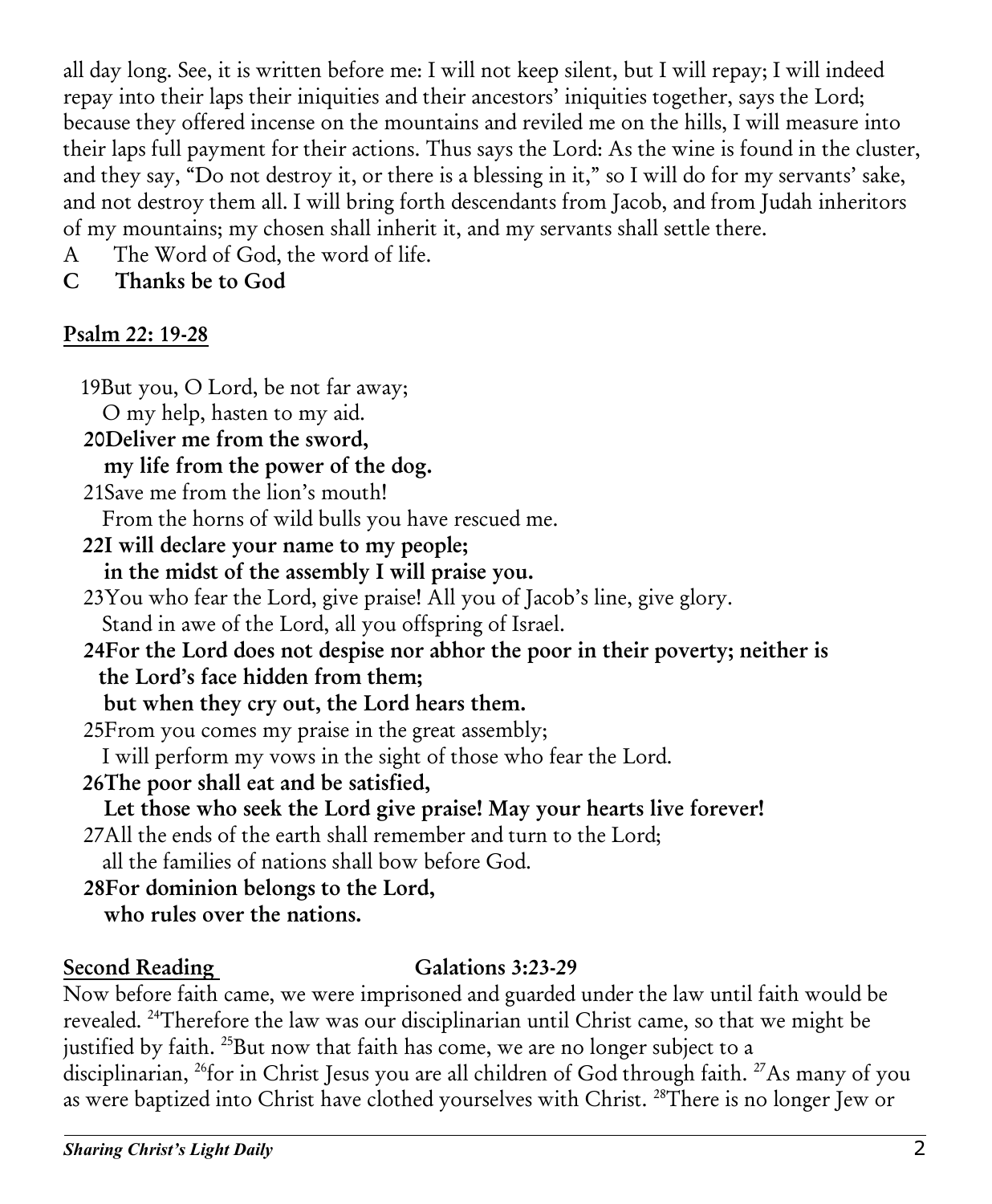all day long. See, it is written before me: I will not keep silent, but I will repay; I will indeed repay into their laps their iniquities and their ancestors' iniquities together, says the Lord; because they offered incense on the mountains and reviled me on the hills, I will measure into their laps full payment for their actions. Thus says the Lord: As the wine is found in the cluster, and they say, "Do not destroy it, or there is a blessing in it," so I will do for my servants' sake, and not destroy them all. I will bring forth descendants from Jacob, and from Judah inheritors of my mountains; my chosen shall inherit it, and my servants shall settle there.

- A The Word of God, the word of life.
- C Thanks be to God

### Psalm 22: 19-28

 19But you, O Lord, be not far away; O my help, hasten to my aid. 20Deliver me from the sword, my life from the power of the dog. 21Save me from the lion's mouth! From the horns of wild bulls you have rescued me. 22I will declare your name to my people; in the midst of the assembly I will praise you. 23You who fear the Lord, give praise! All you of Jacob's line, give glory. Stand in awe of the Lord, all you offspring of Israel. 24For the Lord does not despise nor abhor the poor in their poverty; neither is the Lord's face hidden from them; but when they cry out, the Lord hears them. 25From you comes my praise in the great assembly; I will perform my vows in the sight of those who fear the Lord. 26The poor shall eat and be satisfied, Let those who seek the Lord give praise! May your hearts live forever! 27All the ends of the earth shall remember and turn to the Lord; all the families of nations shall bow before God. 28For dominion belongs to the Lord, who rules over the nations.

### Second Reading Galations 3:23-29

Now before faith came, we were imprisoned and guarded under the law until faith would be revealed. <sup>24</sup>Therefore the law was our disciplinarian until Christ came, so that we might be justified by faith. <sup>25</sup>But now that faith has come, we are no longer subject to a disciplinarian, <sup>26</sup>for in Christ Jesus you are all children of God through faith. <sup>27</sup>As many of you as were baptized into Christ have clothed yourselves with Christ. <sup>28</sup>There is no longer Jew or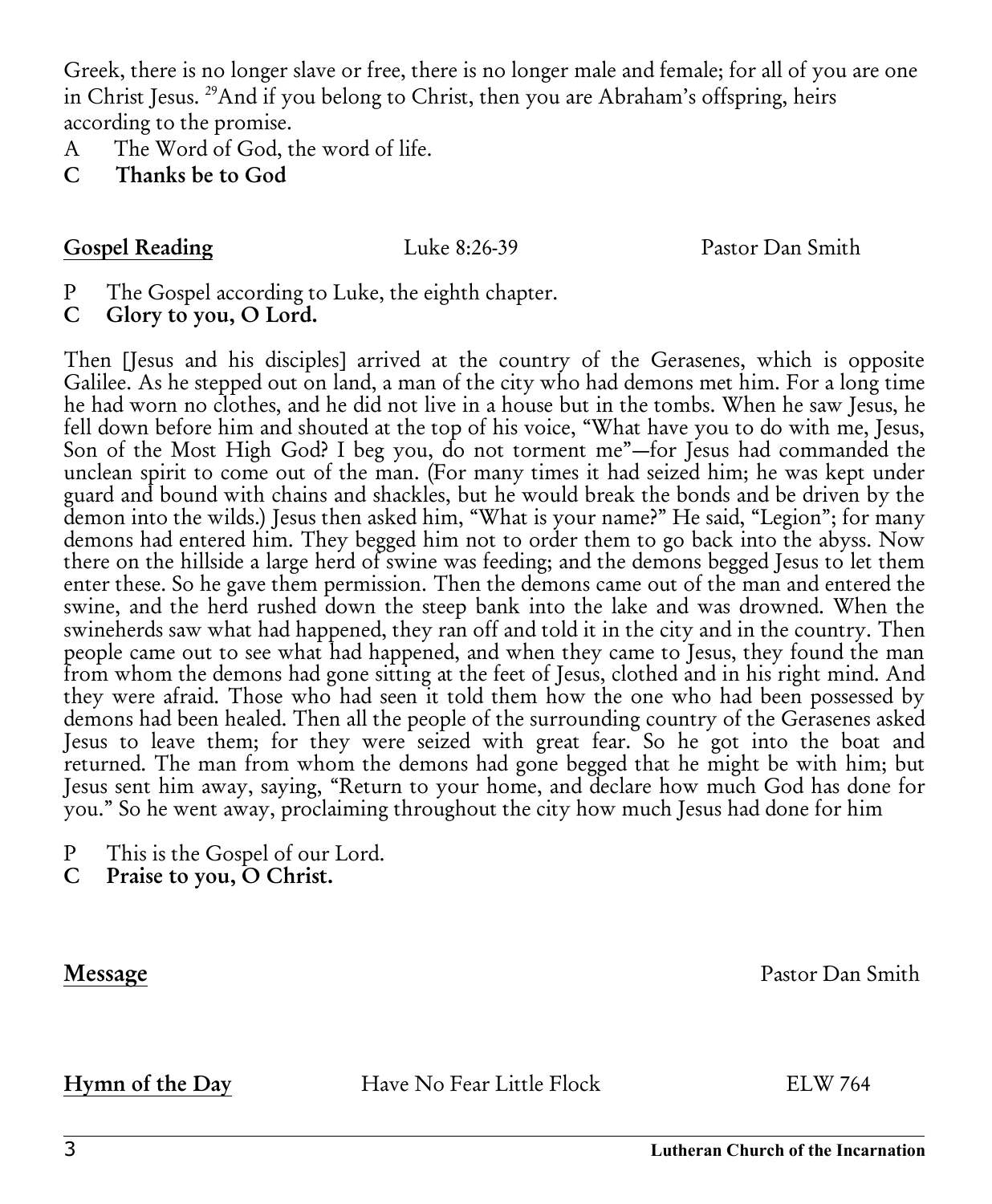Greek, there is no longer slave or free, there is no longer male and female; for all of you are one in Christ Jesus. <sup>29</sup>And if you belong to Christ, then you are Abraham's offspring, heirs according to the promise.

- A The Word of God, the word of life.
- C Thanks be to God

Gospel Reading Luke 8:26-39 Pastor Dan Smith

- P The Gospel according to Luke, the eighth chapter.
- C Glory to you, O Lord.

Then [Jesus and his disciples] arrived at the country of the Gerasenes, which is opposite Galilee. As he stepped out on land, a man of the city who had demons met him. For a long time he had worn no clothes, and he did not live in a house but in the tombs. When he saw Jesus, he fell down before him and shouted at the top of his voice, "What have you to do with me, Jesus, Son of the Most High God? I beg you, do not torment me"—for Jesus had commanded the unclean spirit to come out of the man. (For many times it had seized him; he was kept under guard and bound with chains and shackles, but he would break the bonds and be driven by the demon into the wilds.) Jesus then asked him, "What is your name?" He said, "Legion"; for many demons had entered him. They begged him not to order them to go back into the abyss. Now there on the hillside a large herd of swine was feeding; and the demons begged Jesus to let them enter these. So he gave them permission. Then the demons came out of the man and entered the swine, and the herd rushed down the steep bank into the lake and was drowned. When the swineherds saw what had happened, they ran off and told it in the city and in the country. Then people came out to see what had happened, and when they came to Jesus, they found the man from whom the demons had gone sitting at the feet of Jesus, clothed and in his right mind. And they were afraid. Those who had seen it told them how the one who had been possessed by demons had been healed. Then all the people of the surrounding country of the Gerasenes asked Jesus to leave them; for they were seized with great fear. So he got into the boat and returned. The man from whom the demons had gone begged that he might be with him; but Jesus sent him away, saying, "Return to your home, and declare how much God has done for you." So he went away, proclaiming throughout the city how much Jesus had done for him

- P This is the Gospel of our Lord.
- C Praise to you, O Christ.

Message Pastor Dan Smith

Hymn of the Day Have No Fear Little Flock ELW 764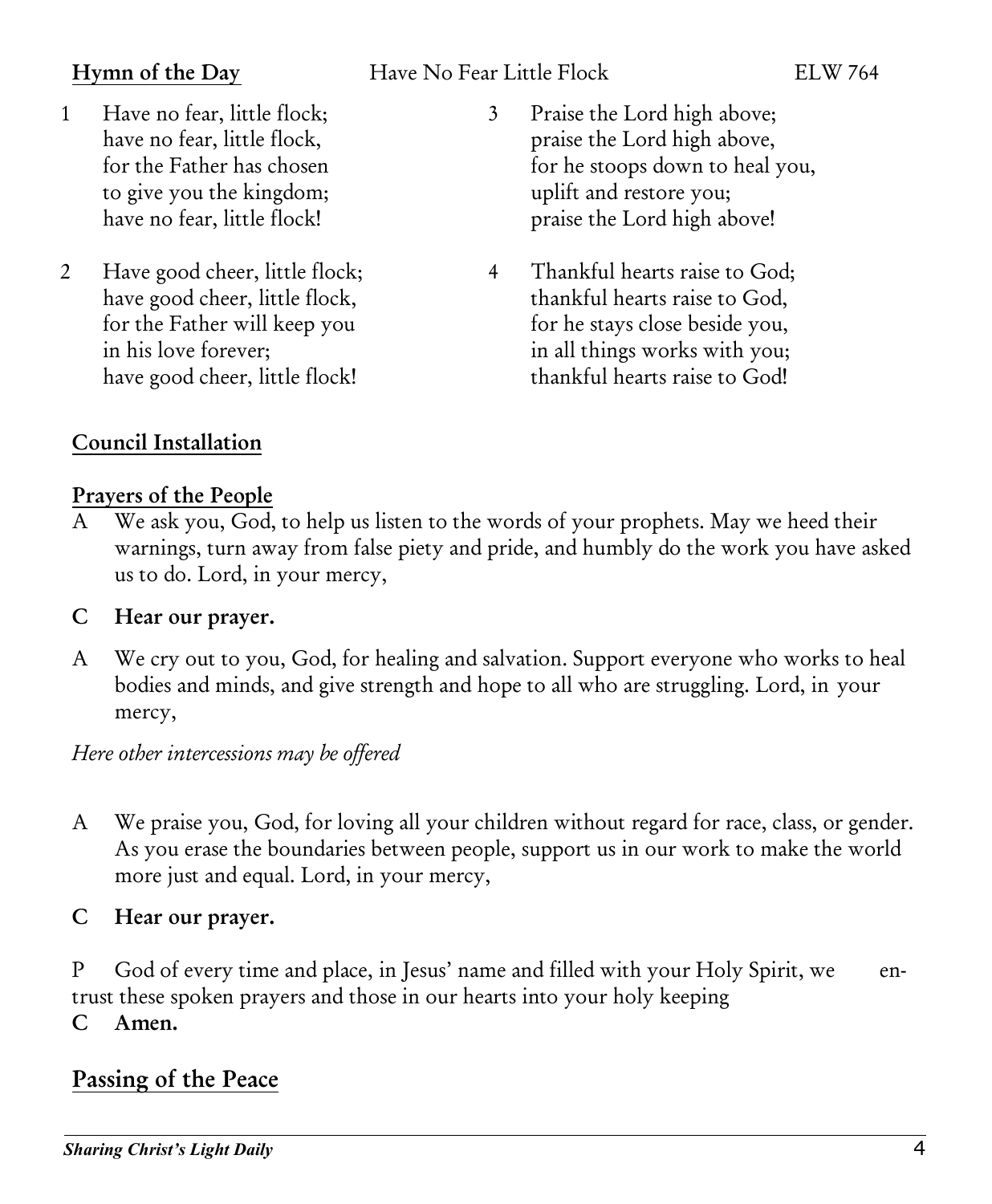### Hymn of the Day Have No Fear Little Flock ELW 764

- 1 Have no fear, little flock; have no fear, little flock, for the Father has chosen to give you the kingdom; have no fear, little flock!
- 2 Have good cheer, little flock; have good cheer, little flock, for the Father will keep you in his love forever; have good cheer, little flock!
- 3 Praise the Lord high above; praise the Lord high above, for he stoops down to heal you, uplift and restore you; praise the Lord high above!
- 4 Thankful hearts raise to God; thankful hearts raise to God, for he stays close beside you, in all things works with you; thankful hearts raise to God!

## Council Installation

### Prayers of the People

A We ask you, God, to help us listen to the words of your prophets. May we heed their warnings, turn away from false piety and pride, and humbly do the work you have asked us to do. Lord, in your mercy,

### C Hear our prayer.

A We cry out to you, God, for healing and salvation. Support everyone who works to heal bodies and minds, and give strength and hope to all who are struggling. Lord, in your mercy,

### *Here other intercessions may be offered*

A We praise you, God, for loving all your children without regard for race, class, or gender. As you erase the boundaries between people, support us in our work to make the world more just and equal. Lord, in your mercy,

### C Hear our prayer.

P God of every time and place, in Jesus' name and filled with your Holy Spirit, we entrust these spoken prayers and those in our hearts into your holy keeping

C Amen.

## Passing of the Peace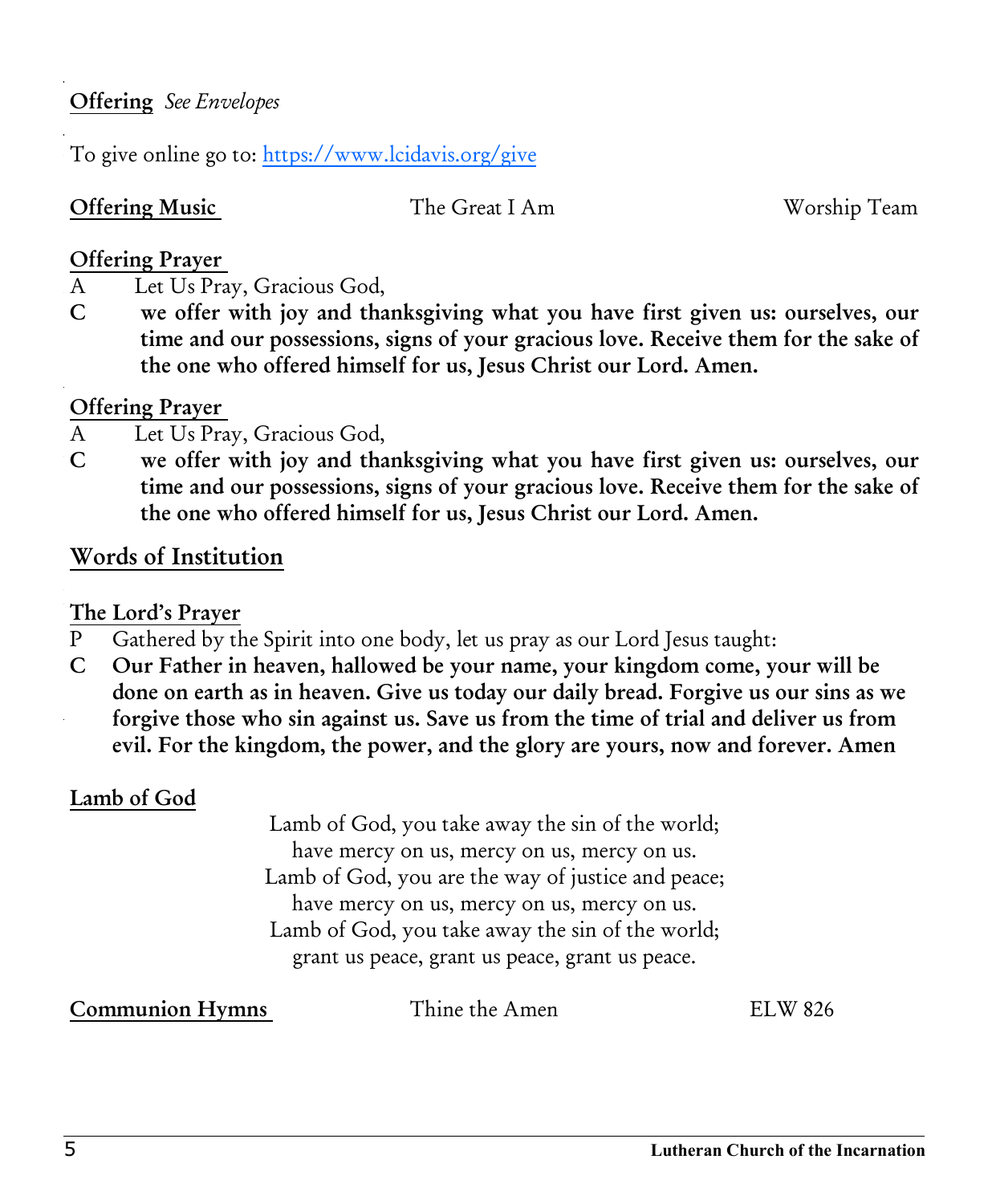### Prayers of the People Offering *See Envelopes*

To give online go to:<https://www.lcidavis.org/give> ware turn away from false piety away from false piety and pride, and pride, and humbly do the work you have as

## Offering Music The Great I Am Worship Team

### $\alpha$ <sup> $\mu$ </sup> +  $\alpha$ Offering Prayer

- A Let Us Pray, Gracious God, for healing and salvation. Support even you who works to heal to heal and salvation. Support everyone who works to heal to heal to heal to heal to heal to heal to heal to heal to heal to heal t
- C we offer with joy and thanksgiving what you have first given us: ourselves, our time and our possessions, signs of your gracious love. Receive them for the sake of *Here other intercessions may be offered*  the one who offered himself for us, Jesus Christ our Lord. Amen.

### Offering Prayer

- A Let Us Pray, Gracious God,
- C we offer with joy and thanksgiving what you have first given us: ourselves, our time and our possessions, signs of your gracious love. Receive them for the sake of the one who offered himself for us, Jesus Christ our Lord. Amen.

## Words of Institution

### $P_{\text{tot}}$  and place, in Jesus' name and filled with your Holy Spirit, we have an operator  $P_{\text{tot}}$ The Lord's Prayer

- ILE LOIG STTAYET<br>P Gathered by the Spirit into one body, let us pray as our Lord Jesus taught:
- r Gamen forgive those who sin against us. Save us from the time of trial and deliver us from C Our Father in heaven, hallowed be your name, your kingdom come, your will be done on earth as in heaven. Give us today our daily bread. Forgive us our sins as we evil. For the kingdom, the power, and the glory are yours, now and forever. Amen

### Lamb of God

Lamb of God, you take away the sin of the world; have mercy on us, mercy on us, mercy on us. Lamb of God, you are the way of justice and peace; have mercy on us, mercy on us, mercy on us. Lamb of God, you take away the sin of the world; grant us peace, grant us peace, grant us peace.

Communion Hymns Thine the Amen ELW 826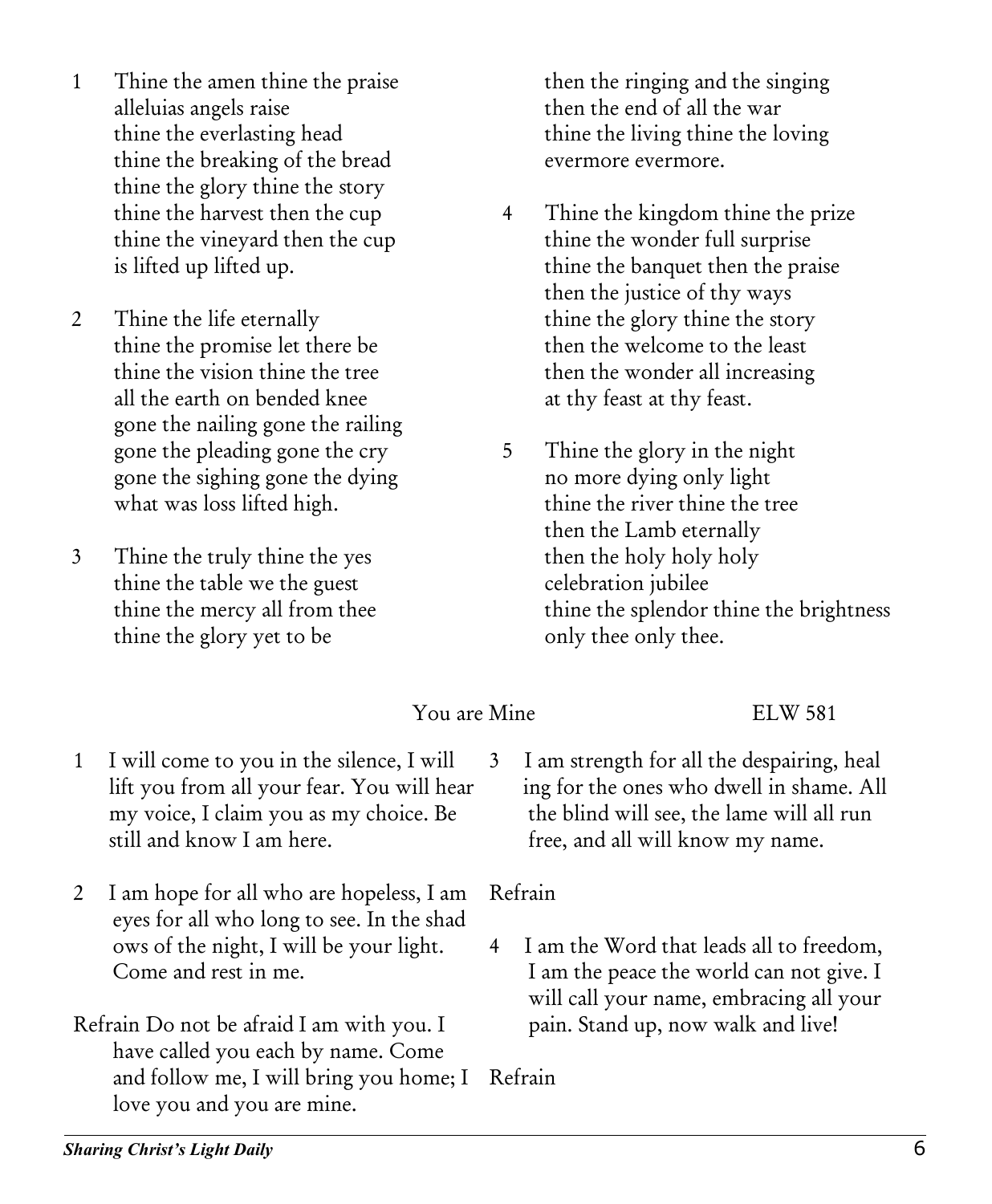- 1 Thine the amen thine the praise alleluias angels raise thine the everlasting head thine the breaking of the bread thine the glory thine the story thine the harvest then the cup thine the vineyard then the cup is lifted up lifted up.
- 2 Thine the life eternally thine the promise let there be thine the vision thine the tree all the earth on bended knee gone the nailing gone the railing gone the pleading gone the cry gone the sighing gone the dying what was loss lifted high.
- 3 Thine the truly thine the yes thine the table we the guest thine the mercy all from thee thine the glory yet to be

then the ringing and the singing then the end of all the war thine the living thine the loving evermore evermore.

- 4 Thine the kingdom thine the prize thine the wonder full surprise thine the banquet then the praise then the justice of thy ways thine the glory thine the story then the welcome to the least then the wonder all increasing at thy feast at thy feast.
- 5 Thine the glory in the night no more dying only light thine the river thine the tree then the Lamb eternally then the holy holy holy celebration jubilee thine the splendor thine the brightness only thee only thee.

### You are Mine ELW 581

- 1 I will come to you in the silence, I will lift you from all your fear. You will hear my voice, I claim you as my choice. Be still and know I am here.
- 2 I am hope for all who are hopeless, I am eyes for all who long to see. In the shad ows of the night, I will be your light. Come and rest in me.
- Refrain Do not be afraid I am with you. I have called you each by name. Come and follow me, I will bring you home; I Refrain love you and you are mine.

3 I am strength for all the despairing, heal ing for the ones who dwell in shame. All the blind will see, the lame will all run free, and all will know my name.

Refrain

4 I am the Word that leads all to freedom, I am the peace the world can not give. I will call your name, embracing all your pain. Stand up, now walk and live!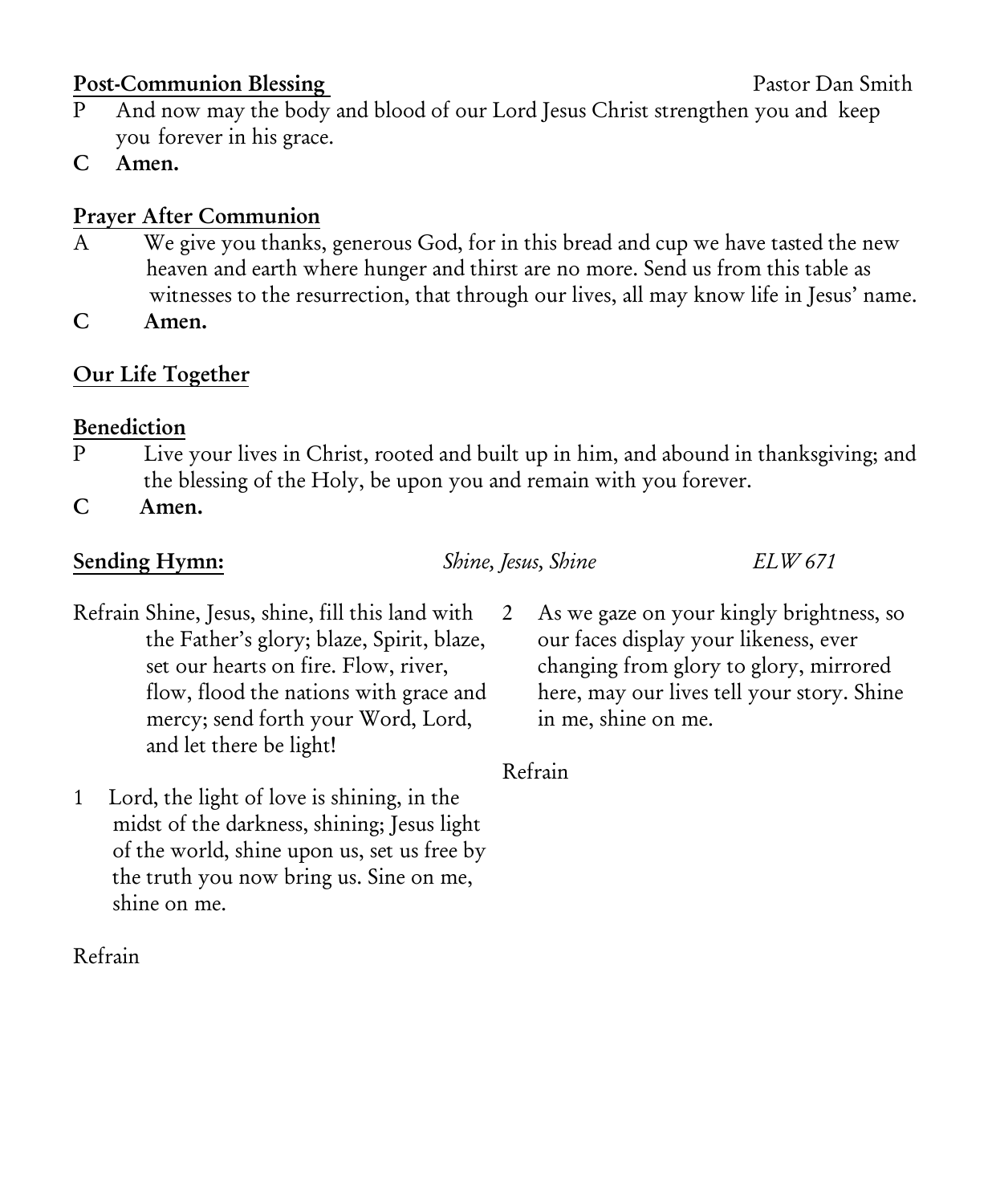### Post-Communion Blessing **Pastor Dan Smith**

- P And now may the body and blood of our Lord Jesus Christ strengthen you and keep you forever in his grace.
- C Amen.

## Prayer After Communion

- A We give you thanks, generous God, for in this bread and cup we have tasted the new heaven and earth where hunger and thirst are no more. Send us from this table as witnesses to the resurrection, that through our lives, all may know life in Jesus' name.
- C Amen.

## Our Life Together

### Benediction

- P Live your lives in Christ, rooted and built up in him, and abound in thanksgiving; and the blessing of the Holy, be upon you and remain with you forever.
- C Amen.

### Sending Hymn: *Shine, Jesus, Shine ELW 671*

- Refrain Shine, Jesus, shine, fill this land with the Father's glory; blaze, Spirit, blaze, set our hearts on fire. Flow, river, flow, flood the nations with grace and mercy; send forth your Word, Lord, and let there be light!
- 1 Lord, the light of love is shining, in the midst of the darkness, shining; Jesus light of the world, shine upon us, set us free by the truth you now bring us. Sine on me, shine on me.

Refrain

2 As we gaze on your kingly brightness, so our faces display your likeness, ever changing from glory to glory, mirrored here, may our lives tell your story. Shine in me, shine on me.

Refrain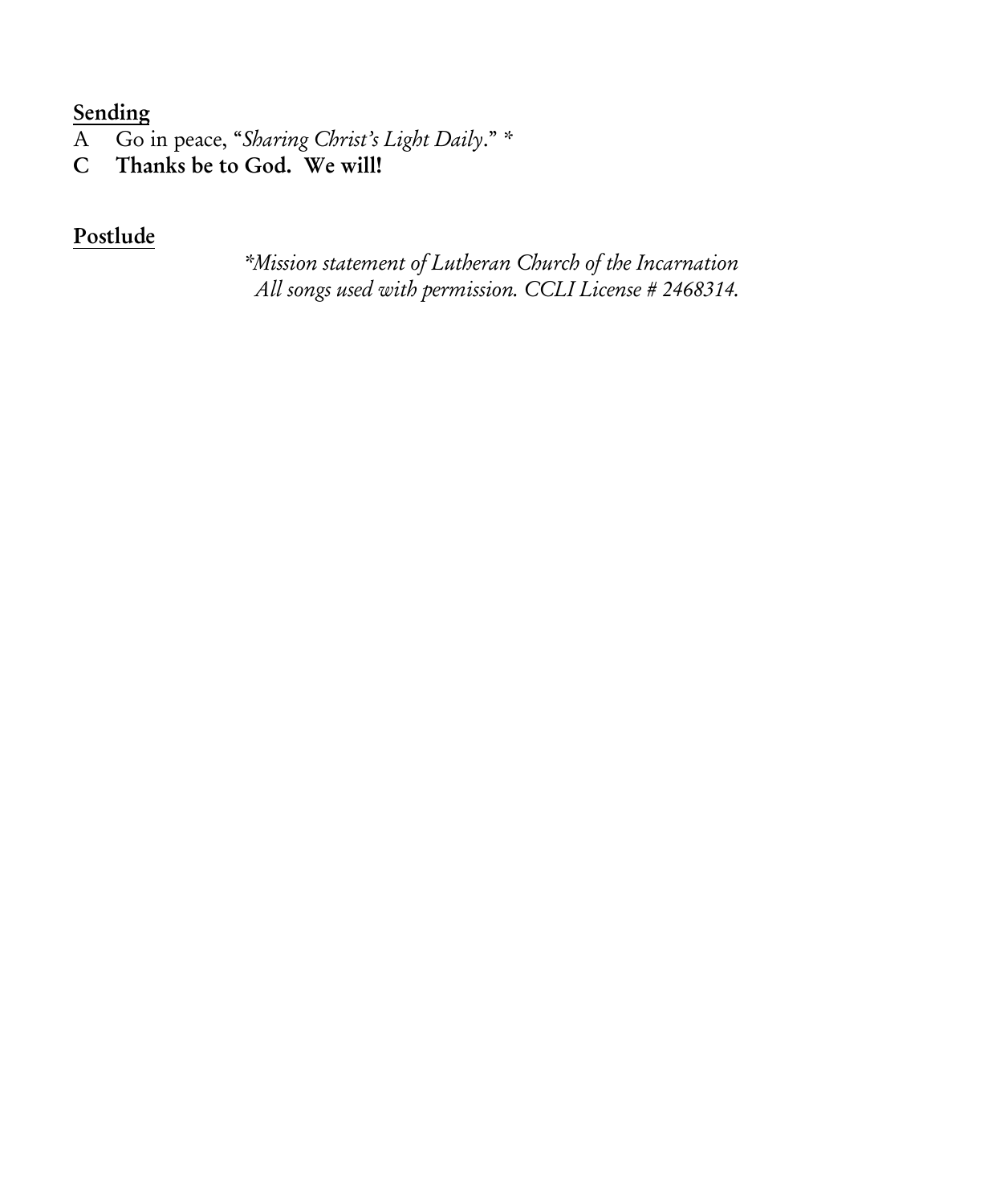### **Sending**

- A Go in peace, "*Sharing Christ's Light Daily*." \*
- C Thanks be to God. We will!

### Postlude

*\*Mission statement of Lutheran Church of the Incarnation All songs used with permission. CCLI License # 2468314.*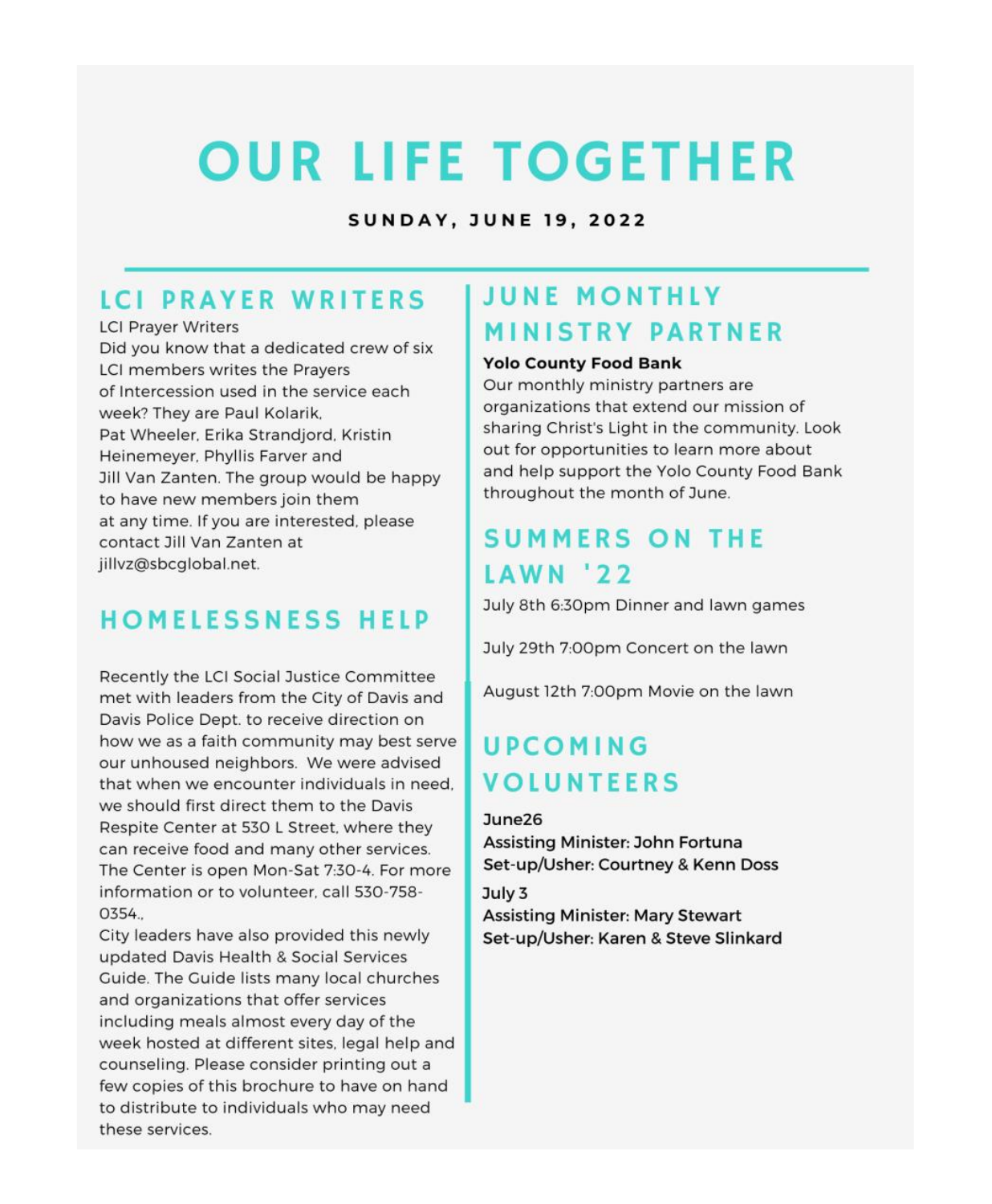# **OUR LIFE TOGETHER**

**SUNDAY, JUNE 19, 2022** 

## **LCI PRAYER WRITERS**

**LCI Prayer Writers** Did you know that a dedicated crew of six LCI members writes the Pravers of Intercession used in the service each week? They are Paul Kolarik. Pat Wheeler, Erika Strandjord, Kristin Heinemeyer, Phyllis Farver and Jill Van Zanten. The group would be happy to have new members join them at any time. If you are interested, please contact Jill Van Zanten at jillvz@sbcqlobal.net.

## **HOMELESSNESS HELP**

Recently the LCI Social Justice Committee met with leaders from the City of Davis and Davis Police Dept. to receive direction on how we as a faith community may best serve our unhoused neighbors. We were advised that when we encounter individuals in need. we should first direct them to the Davis Respite Center at 530 L Street, where they can receive food and many other services. The Center is open Mon-Sat 7:30-4. For more information or to volunteer, call 530-758-0354

City leaders have also provided this newly updated Davis Health & Social Services Guide. The Guide lists many local churches and organizations that offer services including meals almost every day of the week hosted at different sites, legal help and counseling. Please consider printing out a few copies of this brochure to have on hand to distribute to individuals who may need these services.

## **JUNE MONTHLY MINISTRY PARTNER**

### **Yolo County Food Bank**

Our monthly ministry partners are organizations that extend our mission of sharing Christ's Light in the community. Look out for opportunities to learn more about and help support the Yolo County Food Bank throughout the month of June.

## **SUMMERS ON THE LAWN '22**

July 8th 6:30pm Dinner and lawn games

July 29th 7:00pm Concert on the lawn

August 12th 7:00pm Movie on the lawn

## UPCOMING **VOLUNTEERS**

 $June26$ Assisting Minister: John Fortuna Set-up/Usher: Courtney & Kenn Doss

 $Julv<sub>3</sub>$ **Assisting Minister: Mary Stewart** Set-up/Usher: Karen & Steve Slinkard